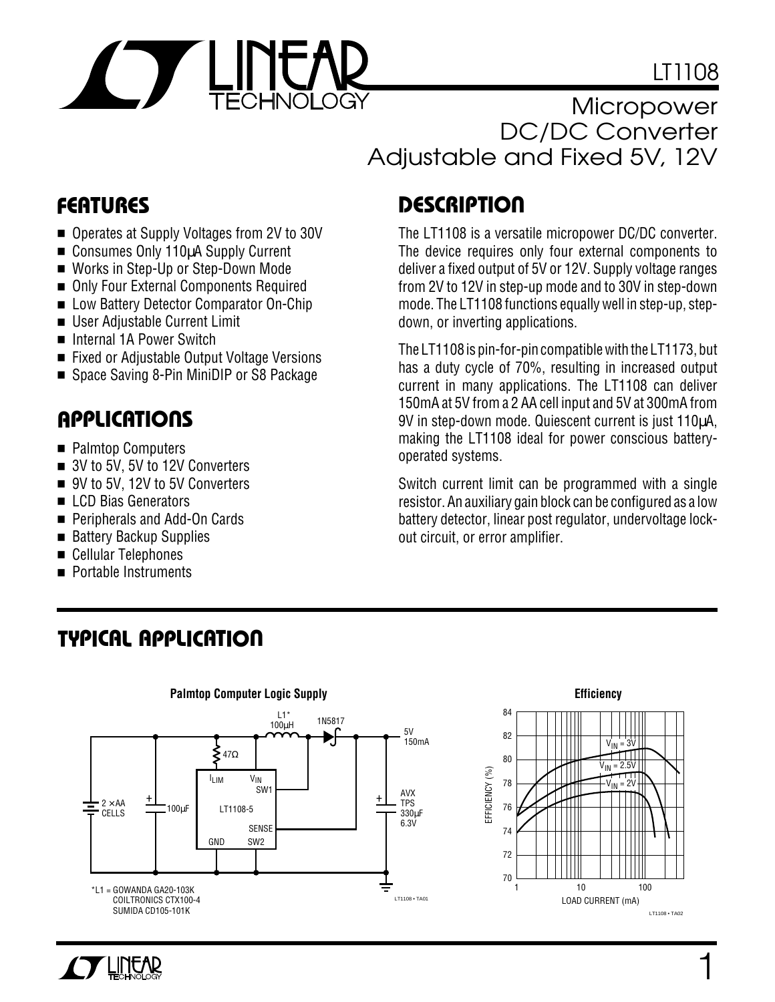

LT1108

**Micropower** DC/DC Converter Adjustable and Fixed 5V, 12V

- Operates at Supply Voltages from 2V to 30V
- Consumes Only 110µA Supply Current
- Works in Step-Up or Step-Down Mode
- Only Four External Components Required
- Low Battery Detector Comparator On-Chip
- User Adiustable Current Limit
- Internal 1A Power Switch
- Fixed or Adjustable Output Voltage Versions
- Space Saving 8-Pin MiniDIP or S8 Package

## **U A S O PPLICATI**

- Palmtop Computers
- 3V to 5V, 5V to 12V Converters
- 9V to 5V, 12V to 5V Converters
- LCD Bias Generators
- Peripherals and Add-On Cards
- Battery Backup Supplies
- Cellular Telephones
- Portable Instruments

# **D <sup>U</sup> FEATURES ESCRIPTIO**

The LT1108 is a versatile micropower DC/DC converter. The device requires only four external components to deliver a fixed output of 5V or 12V. Supply voltage ranges from 2V to 12V in step-up mode and to 30V in step-down mode. The LT1108 functions equally well in step-up, stepdown, or inverting applications.

The LT1108 is pin-for-pin compatible with the LT1173, but has a duty cycle of 70%, resulting in increased output current in many applications. The LT1108 can deliver 150mA at 5V from a 2 AA cell input and 5V at 300mA from 9V in step-down mode. Quiescent current is just 110µA, making the LT1108 ideal for power conscious batteryoperated systems.

Switch current limit can be programmed with a single resistor. An auxiliary gain block can be configured as a low battery detector, linear post regulator, undervoltage lockout circuit, or error amplifier.







### **TYPICAL APPLICATION**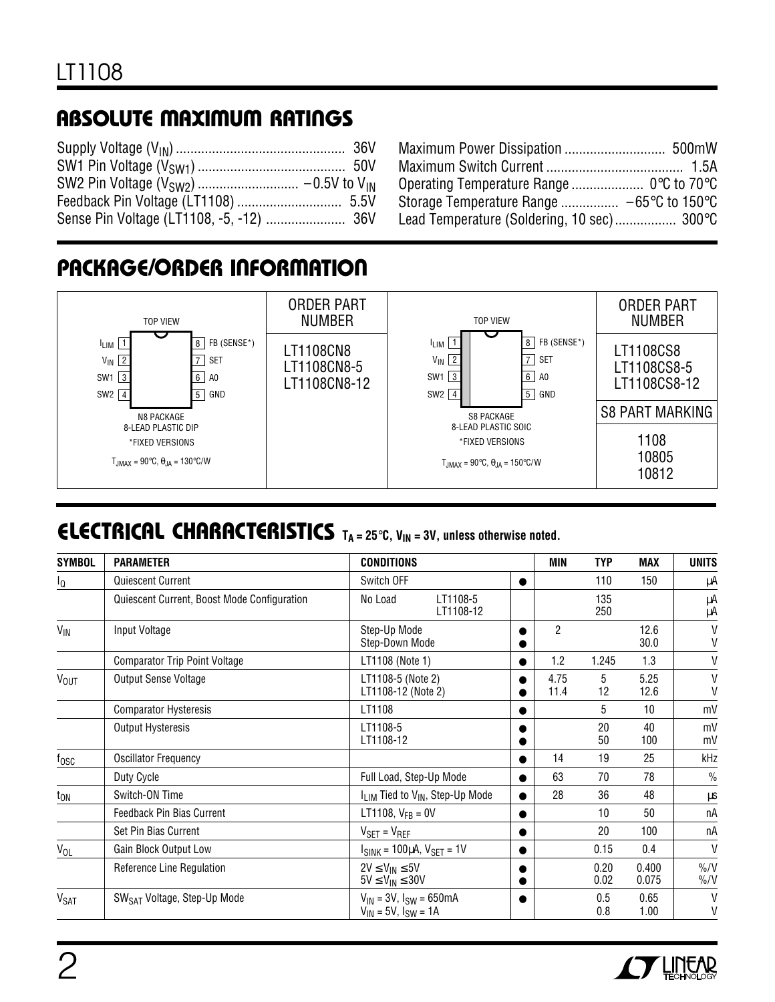# **ABSOLUTE MAXIMUM RATINGS**

| Storage Temperature Range $-65^{\circ}$ C to 150 $^{\circ}$ C |
|---------------------------------------------------------------|
| Lead Temperature (Soldering, 10 sec) 300°C                    |
|                                                               |

### **PACKAGE/ORDER INFORMATION**



# **ELECTRICAL CHARACTERISTICS**  $T_A = 25^\circ \text{C}$ ,  $V_{IN} = 3V$ , unless otherwise noted.

| <b>SYMBOL</b>    | <b>PARAMETER</b>                            | <b>CONDITIONS</b>                                                |           | MIN            | <b>TYP</b>   | <b>MAX</b>      | <b>UNITS</b>                         |
|------------------|---------------------------------------------|------------------------------------------------------------------|-----------|----------------|--------------|-----------------|--------------------------------------|
| l <sub>Q</sub>   | Quiescent Current                           | Switch OFF                                                       | $\bullet$ |                | 110          | 150             | μA                                   |
|                  | Quiescent Current, Boost Mode Configuration | No Load<br>LT1108-5<br>LT1108-12                                 |           |                | 135<br>250   |                 | μA<br>μA                             |
| $V_{\text{IN}}$  | Input Voltage                               | Step-Up Mode<br>Step-Down Mode                                   |           | $\overline{2}$ |              | 12.6<br>30.0    | V<br>V                               |
|                  | <b>Comparator Trip Point Voltage</b>        | LT1108 (Note 1)                                                  | $\bullet$ | 1.2            | 1.245        | 1.3             | V                                    |
| V <sub>OUT</sub> | Output Sense Voltage                        | LT1108-5 (Note 2)<br>LT1108-12 (Note 2)                          |           | 4.75<br>11.4   | 5<br>12      | 5.25<br>12.6    | $\vee$<br>V                          |
|                  | <b>Comparator Hysteresis</b>                | LT1108                                                           |           |                | 5            | 10 <sup>1</sup> | mV                                   |
|                  | Output Hysteresis                           | LT1108-5<br>LT1108-12                                            |           |                | 20<br>50     | 40<br>100       | mV<br>mV                             |
| $f_{\rm OSC}$    | <b>Oscillator Frequency</b>                 |                                                                  | $\bullet$ | 14             | 19           | 25              | kHz                                  |
|                  | Duty Cycle                                  | Full Load, Step-Up Mode                                          | $\bullet$ | 63             | 70           | 78              | $\frac{0}{0}$                        |
| $t_{ON}$         | Switch-ON Time                              | I <sub>LIM</sub> Tied to V <sub>IN</sub> , Step-Up Mode          | $\bullet$ | 28             | 36           | 48              | μs                                   |
|                  | <b>Feedback Pin Bias Current</b>            | LT1108, $V_{FB} = 0V$                                            |           |                | 10           | 50              | пA                                   |
|                  | Set Pin Bias Current                        | $V_{\text{SET}} = V_{\text{REF}}$                                |           |                | 20           | 100             | пA                                   |
| V <sub>OL</sub>  | Gain Block Output Low                       | $ISINK = 100µA, VSET = 1V$                                       | $\bullet$ |                | 0.15         | 0.4             | $\vee$                               |
|                  | Reference Line Regulation                   | $2V \leq V_{IN} \leq 5V$<br>$5V \leq V_{IN} \leq 30V$            |           |                | 0.20<br>0.02 | 0.400<br>0.075  | $\frac{9}{6}$ /V<br>$\frac{9}{0}$ /V |
| V <sub>SAT</sub> | SW <sub>SAT</sub> Voltage, Step-Up Mode     | $V_{IN} = 3V$ , $I_{SW} = 650mA$<br>$V_{IN}$ = 5V, $I_{SW}$ = 1A |           |                | 0.5<br>0.8   | 0.65<br>1.00    | $\mathsf{V}$<br>V                    |

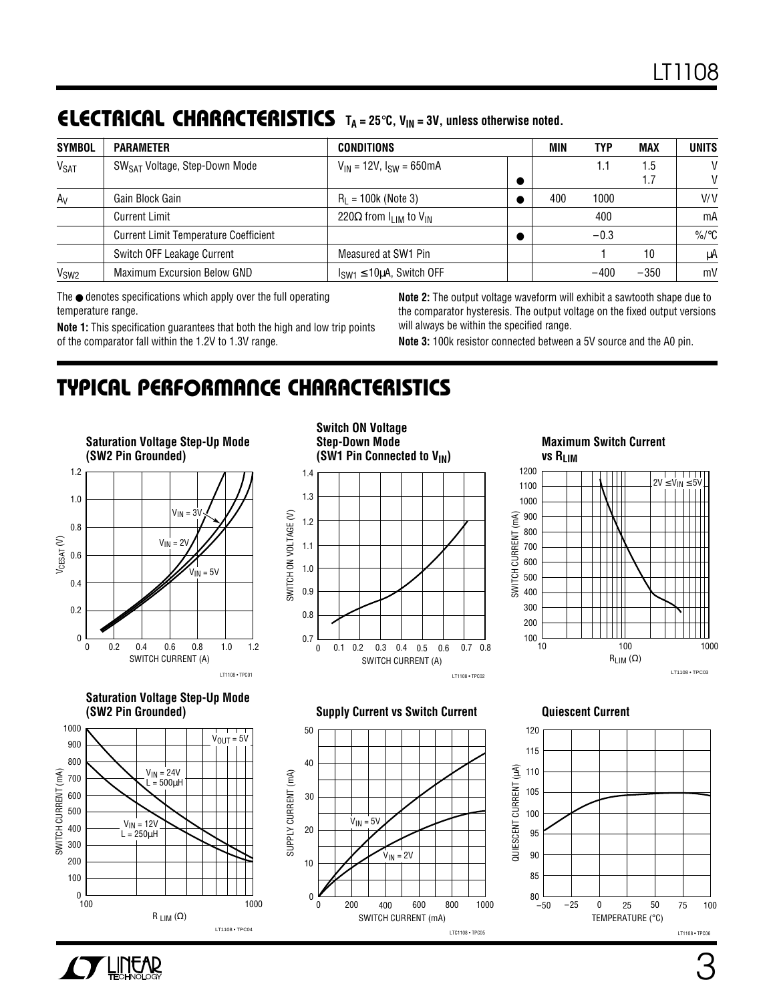# **ELECTRICAL CHARACTERISTICS**  $T_A = 25^\circ \text{C}$ ,  $V_{IN} = 3V$ , unless otherwise noted.

| <b>SYMBOL</b>    | <b>PARAMETER</b>                             | CONDITIONS                              | MIN | TYP    | MAX    | <b>UNITS</b>    |
|------------------|----------------------------------------------|-----------------------------------------|-----|--------|--------|-----------------|
| $V_{\text{SAT}}$ | SW <sub>SAT</sub> Voltage, Step-Down Mode    | $V_{IN}$ = 12V, $I_{SW}$ = 650mA        |     |        | 1.5    | V               |
|                  |                                              |                                         |     |        |        | V               |
| $A_V$            | Gain Block Gain                              | $R_1 = 100k$ (Note 3)                   | 400 | 1000   |        | V/V             |
|                  | <b>Current Limit</b>                         | 220 $\Omega$ from $I_{IJM}$ to $V_{IN}$ |     | 400    |        | mA              |
|                  | <b>Current Limit Temperature Coefficient</b> |                                         |     | $-0.3$ |        | %/ $^{\circ}$ C |
|                  | Switch OFF Leakage Current                   | Measured at SW1 Pin                     |     |        | 10     | μA              |
| V <sub>SW2</sub> | <b>Maximum Excursion Below GND</b>           | $I_{SW1} \le 10 \mu A$ , Switch OFF     |     | $-400$ | $-350$ | mV              |

The ● denotes specifications which apply over the full operating temperature range.

**Note 1:** This specification guarantees that both the high and low trip points of the comparator fall within the 1.2V to 1.3V range.

**Note 2:** The output voltage waveform will exhibit a sawtooth shape due to the comparator hysteresis. The output voltage on the fixed output versions will always be within the specified range.

**Note 3:** 100k resistor connected between a 5V source and the A0 pin.

## **C C HARA TERISTICS U W TYPICAL PERFOR A CE**



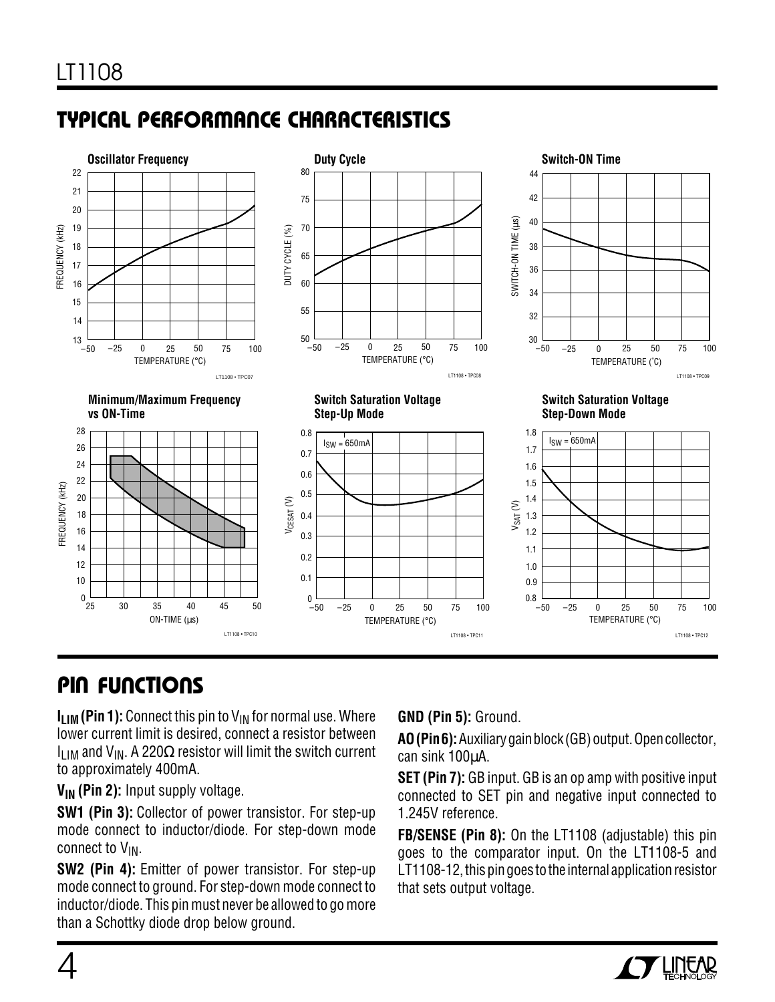# **C C HARA TERISTICS U W TYPICAL PERFOR A CE**



# **PIN FUNCTIONS**

 $I_{\text{I} \text{I} \text{M}}$  (Pin 1): Connect this pin to  $V_{\text{IN}}$  for normal use. Where lower current limit is desired, connect a resistor between  $I_{IJM}$  and  $V_{IN}$ . A 220 $\Omega$  resistor will limit the switch current to approximately 400mA.

**V<sub>IN</sub>** (Pin 2): Input supply voltage.

**SW1 (Pin 3):** Collector of power transistor. For step-up mode connect to inductor/diode. For step-down mode connect to  $V_{IN}$ .

**SW2 (Pin 4):** Emitter of power transistor. For step-up mode connect to ground. For step-down mode connect to inductor/diode. This pin must never be allowed to go more than a Schottky diode drop below ground.

### **GND (Pin 5):** Ground.

**AO (Pin 6):** Auxiliary gain block (GB) output. Open collector, can sink 100µA.

**SET (Pin 7):** GB input. GB is an op amp with positive input connected to SET pin and negative input connected to 1.245V reference.

**FB/SENSE (Pin 8):** On the LT1108 (adjustable) this pin goes to the comparator input. On the LT1108-5 and LT1108-12, this pin goes to the internal application resistor that sets output voltage.

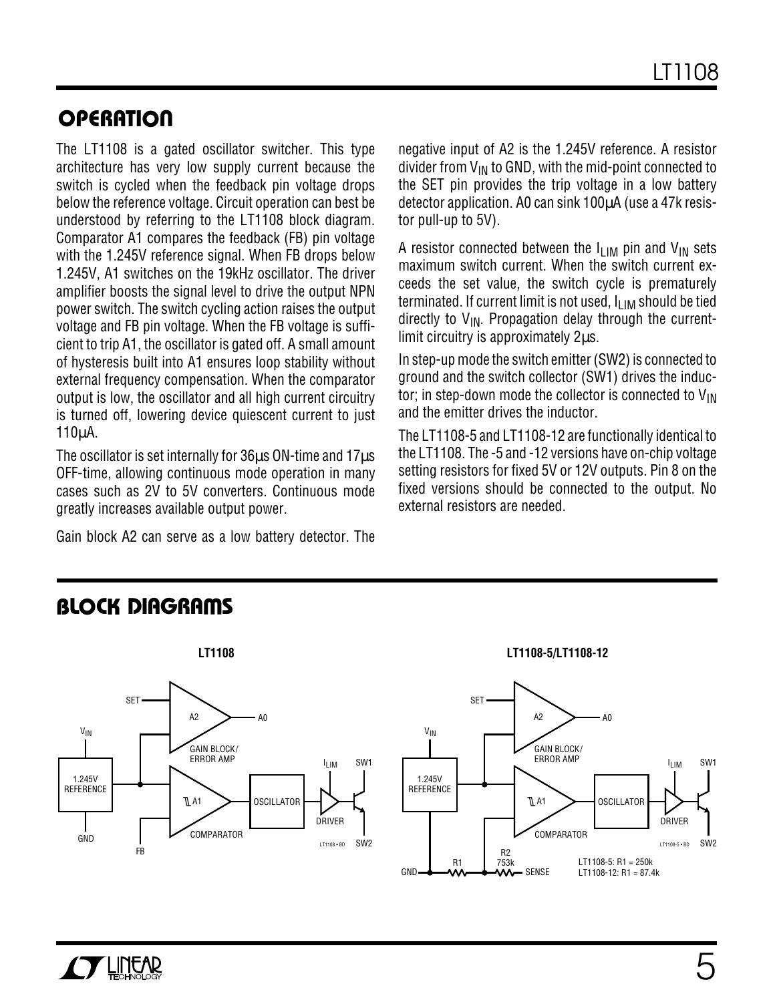### **OPERATION**

The LT1108 is a gated oscillator switcher. This type architecture has very low supply current because the switch is cycled when the feedback pin voltage drops below the reference voltage. Circuit operation can best be understood by referring to the LT1108 block diagram. Comparator A1 compares the feedback (FB) pin voltage with the 1.245V reference signal. When FB drops below 1.245V, A1 switches on the 19kHz oscillator. The driver amplifier boosts the signal level to drive the output NPN power switch. The switch cycling action raises the output voltage and FB pin voltage. When the FB voltage is sufficient to trip A1, the oscillator is gated off. A small amount of hysteresis built into A1 ensures loop stability without external frequency compensation. When the comparator output is low, the oscillator and all high current circuitry is turned off, lowering device quiescent current to just 110µA.

The oscillator is set internally for 36 $\mu$ s ON-time and 17 $\mu$ s OFF-time, allowing continuous mode operation in many cases such as 2V to 5V converters. Continuous mode greatly increases available output power.

Gain block A2 can serve as a low battery detector. The

negative input of A2 is the 1.245V reference. A resistor divider from  $V_{IN}$  to GND, with the mid-point connected to the SET pin provides the trip voltage in a low battery detector application. A0 can sink 100µA (use a 47k resistor pull-up to 5V).

A resistor connected between the  $I_{LIM}$  pin and  $V_{IN}$  sets maximum switch current. When the switch current exceeds the set value, the switch cycle is prematurely terminated. If current limit is not used,  $I_{LIM}$  should be tied directly to  $V_{IN}$ . Propagation delay through the currentlimit circuitry is approximately 2µs.

In step-up mode the switch emitter (SW2) is connected to ground and the switch collector (SW1) drives the inductor; in step-down mode the collector is connected to  $V_{IN}$ and the emitter drives the inductor.

The LT1108-5 and LT1108-12 are functionally identical to the LT1108. The -5 and -12 versions have on-chip voltage setting resistors for fixed 5V or 12V outputs. Pin 8 on the fixed versions should be connected to the output. No external resistors are needed.

### **BLOCK DIAGRAMS**



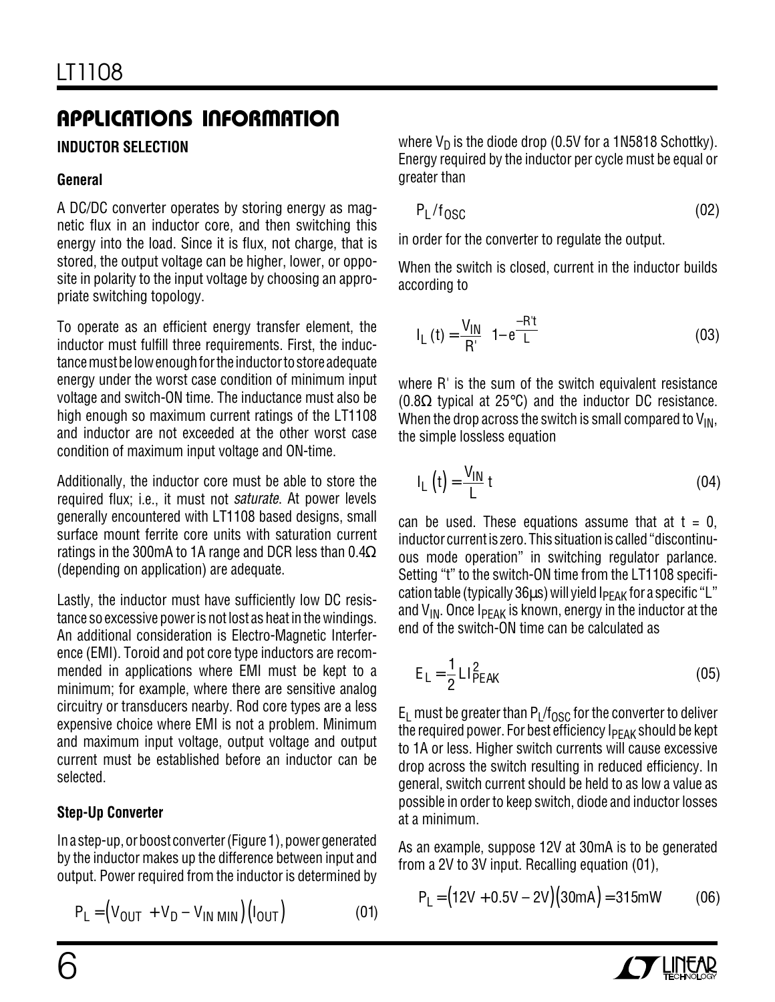### **INDUCTOR SELECTION**

### **General**

A DC/DC converter operates by storing energy as magnetic flux in an inductor core, and then switching this energy into the load. Since it is flux, not charge, that is stored, the output voltage can be higher, lower, or opposite in polarity to the input voltage by choosing an appropriate switching topology.

To operate as an efficient energy transfer element, the inductor must fulfill three requirements. First, the inductance must be low enough for the inductor to store adequate energy under the worst case condition of minimum input voltage and switch-ON time. The inductance must also be high enough so maximum current ratings of the LT1108 and inductor are not exceeded at the other worst case condition of maximum input voltage and ON-time.

Additionally, the inductor core must be able to store the required flux; i.e., it must not *saturate*. At power levels generally encountered with LT1108 based designs, small surface mount ferrite core units with saturation current ratings in the 300mA to 1A range and DCR less than 0.4 $\Omega$ (depending on application) are adequate.

Lastly, the inductor must have sufficiently low DC resistance so excessive power is not lost as heat in the windings. An additional consideration is Electro-Magnetic Interference (EMI). Toroid and pot core type inductors are recommended in applications where EMI must be kept to a minimum; for example, where there are sensitive analog circuitry or transducers nearby. Rod core types are a less expensive choice where EMI is not a problem. Minimum and maximum input voltage, output voltage and output current must be established before an inductor can be selected.

### **Step-Up Converter**

In a step-up, or boost converter (Figure 1), power generated by the inductor makes up the difference between input and output. Power required from the inductor is determined by

$$
P_L = (V_{OUT} + V_D - V_{IN MIN})(I_{OUT})
$$
 (01)

where  $V_D$  is the diode drop (0.5V for a 1N5818 Schottky). Energy required by the inductor per cycle must be equal or greater than

$$
P_{L}/f_{OSC} \tag{02}
$$

in order for the converter to regulate the output.

When the switch is closed, current in the inductor builds according to

$$
I_{L}(t) = \frac{V_{IN}}{R'} \left( 1 - e^{\frac{-R't}{L}} \right)
$$
 (03)

where R<sup>'</sup> is the sum of the switch equivalent resistance (0.8Ω typical at 25°C) and the inductor DC resistance. When the drop across the switch is small compared to  $V_{IN}$ , the simple lossless equation

$$
I_{L}(t) = \frac{V_{IN}}{L} t
$$
 (04)

can be used. These equations assume that at  $t = 0$ , inductor current is zero. This situation is called "discontinuous mode operation" in switching regulator parlance. Setting "t" to the switch-ON time from the LT1108 specification table (typically  $36\mu s$ ) will yield  $I_{PFAK}$  for a specific "L" and  $V_{IN}$ . Once I $P_{EAK}$  is known, energy in the inductor at the end of the switch-ON time can be calculated as

$$
E_{L} = \frac{1}{2} L I_{PEAK}^{2}
$$
 (05)

 $E_1$  must be greater than P<sub>L</sub>/f<sub>OSC</sub> for the converter to deliver the required power. For best efficiency  $I_{\rm PFAK}$  should be kept to 1A or less. Higher switch currents will cause excessive drop across the switch resulting in reduced efficiency. In general, switch current should be held to as low a value as possible in order to keep switch, diode and inductor losses at a minimum.

As an example, suppose 12V at 30mA is to be generated from a 2V to 3V input. Recalling equation (01),

$$
P_L = (12V + 0.5V - 2V)(30mA) = 315mW
$$
 (06)

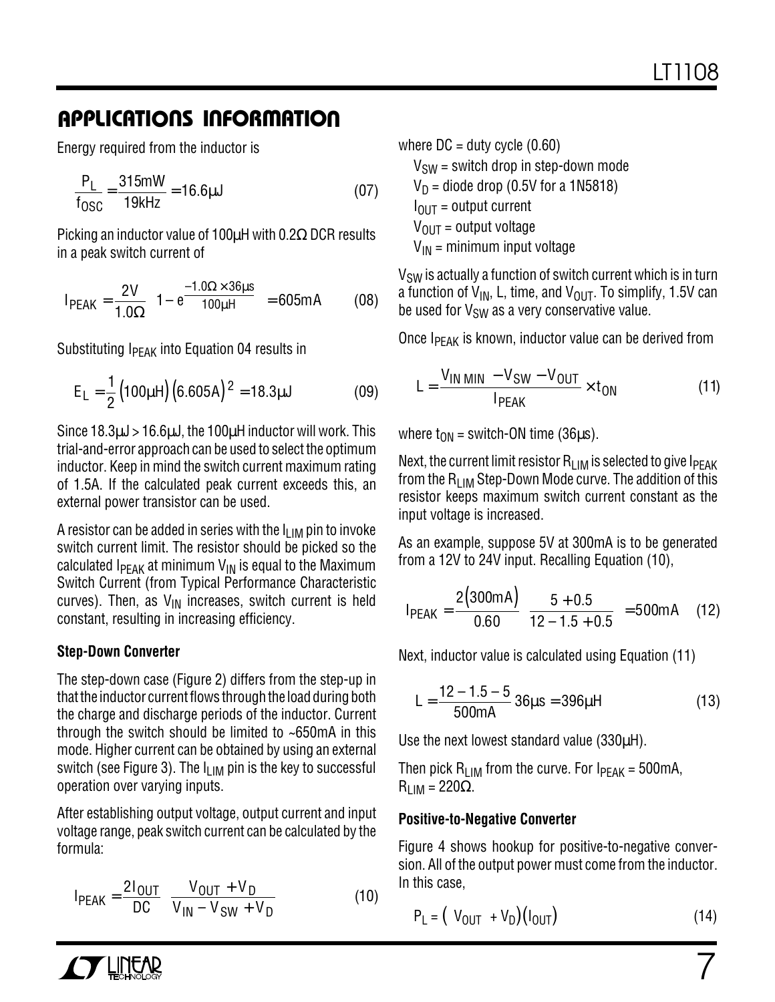Energy required from the inductor is

$$
\frac{P_L}{f_{OSC}} = \frac{315mW}{19kHz} = 16.6\mu J
$$
 (07)

Picking an inductor value of 100µH with 0.2Ω DCR results in a peak switch current of

$$
I_{PEAK} = \frac{2V}{1.0\Omega} \left( 1 - e^{\frac{-1.0\Omega \times 36\mu s}{100\mu H}} \right) = 605mA
$$
 (08)

Substituting  $I_{\text{PFAK}}$  into Equation 04 results in

$$
E_{L} = \frac{1}{2} (100 \mu H) (6.605 A)^{2} = 18.3 \mu J
$$
 (09)

Since 18.3µJ > 16.6µJ, the 100µH inductor will work. This trial-and-error approach can be used to select the optimum inductor. Keep in mind the switch current maximum rating of 1.5A. If the calculated peak current exceeds this, an external power transistor can be used.

A resistor can be added in series with the  $I_{LIM}$  pin to invoke switch current limit. The resistor should be picked so the calculated  $I_{\text{PFAK}}$  at minimum  $V_{\text{IN}}$  is equal to the Maximum Switch Current (from Typical Performance Characteristic curves). Then, as  $V_{IN}$  increases, switch current is held constant, resulting in increasing efficiency.

### **Step-Down Converter**

The step-down case (Figure 2) differs from the step-up in that the inductor current flows through the load during both the charge and discharge periods of the inductor. Current through the switch should be limited to ~650mA in this mode. Higher current can be obtained by using an external switch (see Figure 3). The  $I_{LIM}$  pin is the key to successful operation over varying inputs.

After establishing output voltage, output current and input voltage range, peak switch current can be calculated by the formula:

$$
I_{PEAK} = \frac{2I_{OUT}}{DC} \left[ \frac{V_{OUT} + V_D}{V_{IN} - V_{SW} + V_D} \right]
$$
 (10)

where  $DC =$  duty cycle  $(0.60)$ 

 $V_{SW}$  = switch drop in step-down mode  $V_D$  = diode drop (0.5V for a 1N5818)  $I<sub>OUT</sub>$  = output current  $V_{OIII}$  = output voltage  $V_{IN}$  = minimum input voltage

 $V_{SW}$  is actually a function of switch current which is in turn a function of  $V_{IN}$ , L, time, and  $V_{OUT}$ . To simplify, 1.5V can be used for  $V_{SW}$  as a very conservative value.

Once  $I_{PEAK}$  is known, inductor value can be derived from

$$
L = \frac{V_{IN \text{ MIN}} - V_{SW} - V_{OUT}}{I_{PEAK}} \times t_{ON}
$$
 (11)

where  $t_{ON}$  = switch-ON time (36 $\mu$ s).

Next, the current limit resistor  $R_{LIM}$  is selected to give  $I_{PEAK}$ from the R<sub>LIM</sub> Step-Down Mode curve. The addition of this resistor keeps maximum switch current constant as the input voltage is increased.

As an example, suppose 5V at 300mA is to be generated from a 12V to 24V input. Recalling Equation (10),

$$
I_{PEAK} = \frac{2(300mA)}{0.60} \left[ \frac{5 + 0.5}{12 - 1.5 + 0.5} \right] = 500mA
$$
 (12)

Next, inductor value is calculated using Equation (11)

$$
L = \frac{12 - 1.5 - 5}{500 \text{mA}} 36 \mu s = 396 \mu H
$$
 (13)

Use the next lowest standard value (330µH).

Then pick  $R_{LIM}$  from the curve. For  $I_{PEAK} = 500 \text{mA}$ ,  $R_{LIM}$  = 220 $\Omega$ .

### **Positive-to-Negative Converter**

Figure 4 shows hookup for positive-to-negative conversion. All of the output power must come from the inductor. In this case,

$$
P_L = (|V_{OUT}| + V_D)(I_{OUT})
$$
\n(14)

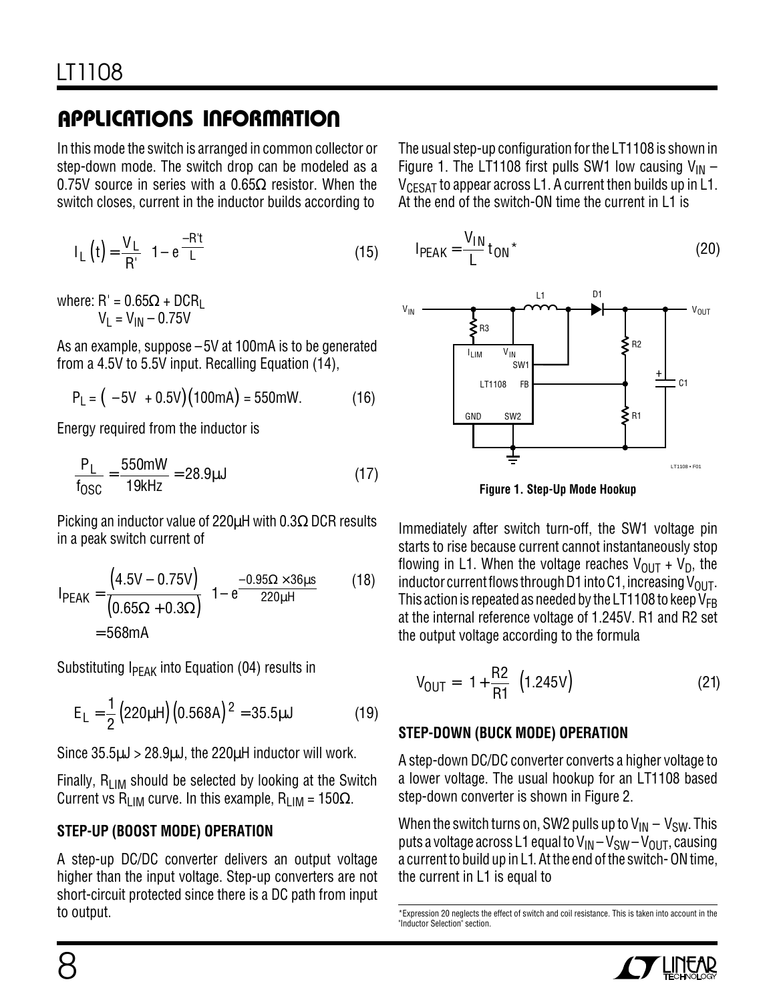In this mode the switch is arranged in common collector or step-down mode. The switch drop can be modeled as a 0.75V source in series with a 0.65 $\Omega$  resistor. When the switch closes, current in the inductor builds according to

$$
I_{L}(t) = \frac{V_{L}}{R'} \left(1 - e^{\frac{-R't}{L}}\right)
$$
 (15)

where:  $R' = 0.65\Omega + DCR_1$  $V_1 = V_{1N} - 0.75V$ 

As an example, suppose –5V at 100mA is to be generated from a 4.5V to 5.5V input. Recalling Equation (14),

$$
P_L = (|-5V| + 0.5V)(100mA) = 550mW.
$$
 (16)

Energy required from the inductor is

$$
\frac{P_L}{f_{OSC}} = \frac{550 \text{mW}}{19 \text{kHz}} = 28.9 \text{µJ}
$$
 (17)

Picking an inductor value of 220µH with 0.3Ω DCR results in a peak switch current of

$$
I_{PEAK} = \frac{(4.5V - 0.75V)}{(0.65\Omega + 0.3\Omega)} \left(1 - e^{\frac{-0.95\Omega \times 36\mu s}{220\mu H}}\right)
$$
(18)  
= 568mA

Substituting  $I_{PEAK}$  into Equation (04) results in

$$
E_{L} = \frac{1}{2} (220 \mu H) (0.568 A)^{2} = 35.5 \mu J
$$
 (19)

Since  $35.5\mu J > 28.9\mu J$ , the  $220\mu H$  inductor will work.

Finally,  $R_{LIM}$  should be selected by looking at the Switch Current vs R<sub>LIM</sub> curve. In this example, R<sub>LIM</sub> = 150 $\Omega$ .

### **STEP-UP (BOOST MODE) OPERATION**

A step-up DC/DC converter delivers an output voltage higher than the input voltage. Step-up converters are not short-circuit protected since there is a DC path from input to output.

The usual step-up configuration for the LT1108 is shown in Figure 1. The LT1108 first pulls SW1 low causing  $V_{IN}$  –  $V_{CFSAT}$  to appear across L1. A current then builds up in L1. At the end of the switch-ON time the current in L1 is

$$
IPEAK = \frac{V_{IN}}{L} t_{ON} \star
$$
 (20)



**Figure 1. Step-Up Mode Hookup**

Immediately after switch turn-off, the SW1 voltage pin starts to rise because current cannot instantaneously stop flowing in L1. When the voltage reaches  $V_{\text{OUT}} + V_{\text{D}}$ , the inductor current flows through D1 into C1, increasing  $V_{OIII}$ . This action is repeated as needed by the LT1108 to keep  $V_{FR}$ at the internal reference voltage of 1.245V. R1 and R2 set the output voltage according to the formula

$$
V_{OUT} = \left(1 + \frac{R2}{R1}\right) \left(1.245V\right) \tag{21}
$$

### **STEP-DOWN (BUCK MODE) OPERATION**

A step-down DC/DC converter converts a higher voltage to a lower voltage. The usual hookup for an LT1108 based step-down converter is shown in Figure 2.

When the switch turns on, SW2 pulls up to  $V_{IN} - V_{SW}$ . This puts a voltage across L1 equal to  $V_{IN} - V_{SW} - V_{OUT}$ , causing a current to build up in L1. At the end of the switch- ON time, the current in L1 is equal to

<sup>\*</sup>Expression 20 neglects the effect of switch and coil resistance. This is taken into account in the "Inductor Selection" section.

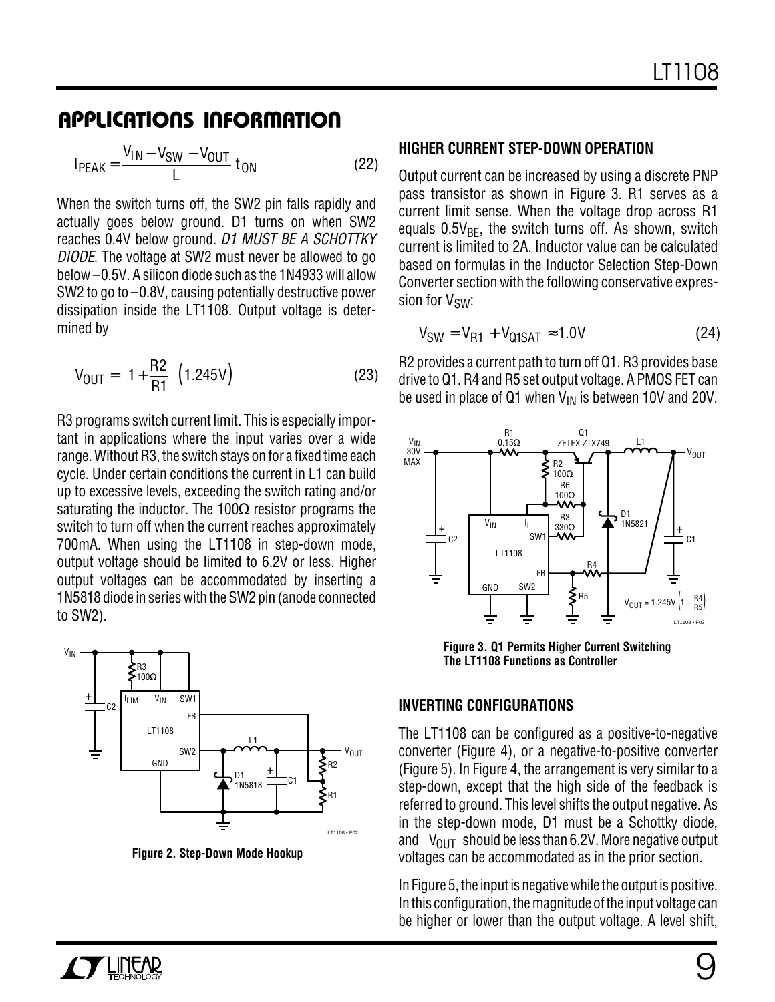$$
I_{PEAK} = \frac{V_{IN} - V_{SW} - V_{OUT}}{L} t_{ON}
$$
 (22)

When the switch turns off, the SW2 pin falls rapidly and actually goes below ground. D1 turns on when SW2 reaches 0.4V below ground. D1 MUST BE A SCHOTTKY DIODE. The voltage at SW2 must never be allowed to go below –0.5V. A silicon diode such as the 1N4933 will allow SW2 to go to –0.8V, causing potentially destructive power dissipation inside the LT1108. Output voltage is determined by

$$
V_{OUT} = \left(1 + \frac{R2}{R1}\right) \left(1.245V\right)
$$
 (23)

R3 programs switch current limit. This is especially important in applications where the input varies over a wide range. Without R3, the switch stays on for a fixed time each cycle. Under certain conditions the current in L1 can build up to excessive levels, exceeding the switch rating and/or saturating the inductor. The 100 $\Omega$  resistor programs the switch to turn off when the current reaches approximately 700mA. When using the LT1108 in step-down mode, output voltage should be limited to 6.2V or less. Higher output voltages can be accommodated by inserting a 1N5818 diode in series with the SW2 pin (anode connected to SW2).



**Figure 2. Step-Down Mode Hookup**

#### **HIGHER CURRENT STEP-DOWN OPERATION**

Output current can be increased by using a discrete PNP pass transistor as shown in Figure 3. R1 serves as a current limit sense. When the voltage drop across R1 equals  $0.5V_{BF}$ , the switch turns off. As shown, switch current is limited to 2A. Inductor value can be calculated based on formulas in the Inductor Selection Step-Down Converter section with the following conservative expression for V<sub>SW</sub>:

$$
V_{SW} = V_{R1} + V_{Q1SAT} \approx 1.0V
$$
 (24)

R2 provides a current path to turn off Q1. R3 provides base drive to Q1. R4 and R5 set output voltage. A PMOS FET can be used in place of Q1 when  $V_{IN}$  is between 10V and 20V.



**Figure 3. Q1 Permits Higher Current Switching The LT1108 Functions as Controller**

### **INVERTING CONFIGURATIONS**

The LT1108 can be configured as a positive-to-negative converter (Figure 4), or a negative-to-positive converter (Figure 5). In Figure 4, the arrangement is very similar to a step-down, except that the high side of the feedback is referred to ground. This level shifts the output negative. As in the step-down mode, D1 must be a Schottky diode, and  $|V_{\text{OUT}}|$  should be less than 6.2V. More negative output voltages can be accommodated as in the prior section.

In Figure 5, the input is negative while the output is positive. In this configuration, the magnitude of the input voltage can be higher or lower than the output voltage. A level shift,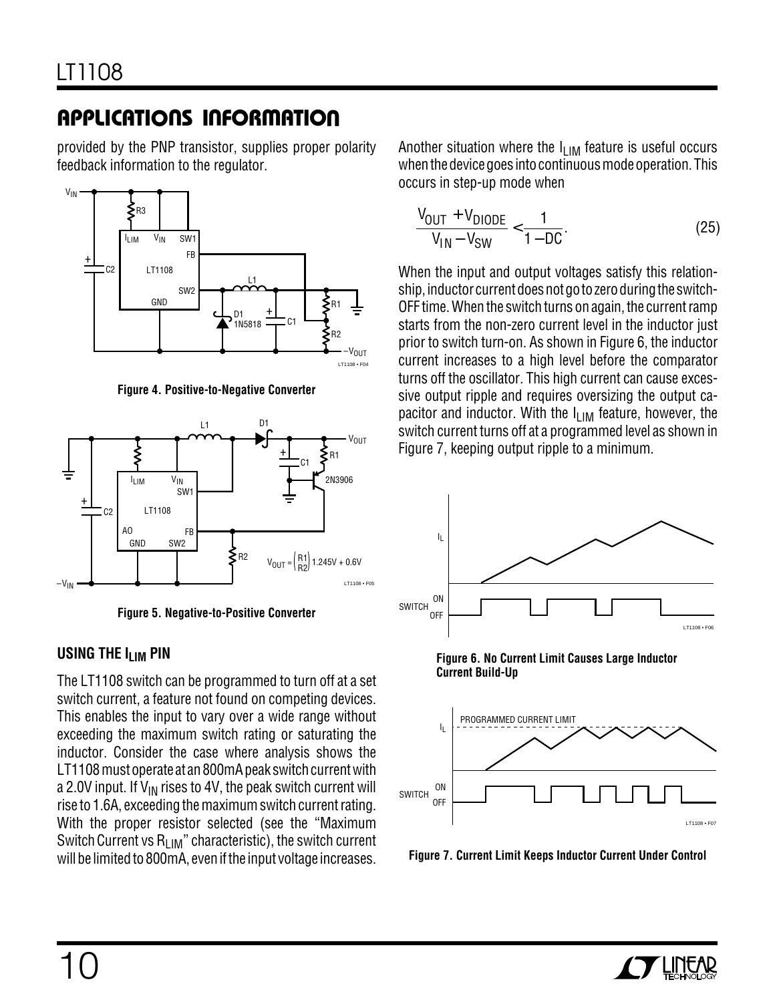provided by the PNP transistor, supplies proper polarity feedback information to the regulator.



**Figure 4. Positive-to-Negative Converter**



**Figure 5. Negative-to-Positive Converter**

### **USING THE I<sub>LIM</sub> PIN**

The LT1108 switch can be programmed to turn off at a set switch current, a feature not found on competing devices. This enables the input to vary over a wide range without exceeding the maximum switch rating or saturating the inductor. Consider the case where analysis shows the LT1108 must operate at an 800mA peak switch current with a 2.0V input. If  $V_{IN}$  rises to 4V, the peak switch current will rise to 1.6A, exceeding the maximum switch current rating. With the proper resistor selected (see the "Maximum Switch Current vs  $R_{LIM}$ " characteristic), the switch current will be limited to 800mA, even if the input voltage increases.

Another situation where the  $I_{\text{LIM}}$  feature is useful occurs when the device goes into continuous mode operation. This occurs in step-up mode when

$$
\frac{V_{OUT} + V_{DIODE}}{V_{IN} - V_{SW}} < \frac{1}{1 - DC}.
$$
 (25)

When the input and output voltages satisfy this relationship, inductor current does not go to zero during the switch-OFF time. When the switch turns on again, the current ramp starts from the non-zero current level in the inductor just prior to switch turn-on. As shown in Figure 6, the inductor current increases to a high level before the comparator turns off the oscillator. This high current can cause excessive output ripple and requires oversizing the output capacitor and inductor. With the  $I_{LIM}$  feature, however, the switch current turns off at a programmed level as shown in Figure 7, keeping output ripple to a minimum.



**Figure 6. No Current Limit Causes Large Inductor Current Build-Up**



**Figure 7. Current Limit Keeps Inductor Current Under Control**

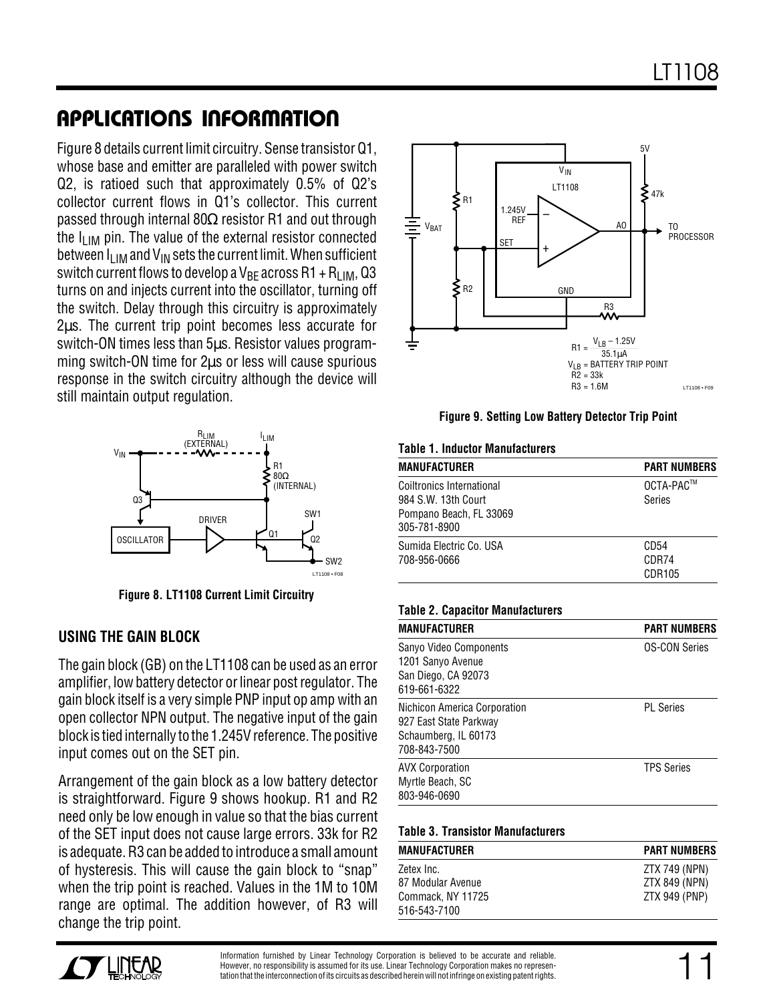Figure 8 details current limit circuitry. Sense transistor Q1, whose base and emitter are paralleled with power switch Q2, is ratioed such that approximately 0.5% of Q2's collector current flows in Q1's collector. This current passed through internal 80Ω resistor R1 and out through the  $I_{LIM}$  pin. The value of the external resistor connected between  $I_{\text{I}}_{\text{IM}}$  and  $V_{\text{IN}}$  sets the current limit. When sufficient switch current flows to develop a V<sub>BF</sub> across R1 + R<sub>LIM</sub>, Q3 turns on and injects current into the oscillator, turning off the switch. Delay through this circuitry is approximately 2µs. The current trip point becomes less accurate for switch-ON times less than 5µs. Resistor values programming switch-ON time for 2µs or less will cause spurious response in the switch circuitry although the device will still maintain output regulation.



**Figure 8. LT1108 Current Limit Circuitry**

### **USING THE GAIN BLOCK**

The gain block (GB) on the LT1108 can be used as an error amplifier, low battery detector or linear post regulator. The gain block itself is a very simple PNP input op amp with an open collector NPN output. The negative input of the gain block is tied internally to the 1.245V reference. The positive input comes out on the SET pin.

Arrangement of the gain block as a low battery detector is straightforward. Figure 9 shows hookup. R1 and R2 need only be low enough in value so that the bias current of the SET input does not cause large errors. 33k for R2 is adequate. R3 can be added to introduce a small amount of hysteresis. This will cause the gain block to "snap" when the trip point is reached. Values in the 1M to 10M range are optimal. The addition however, of R3 will change the trip point.



**Figure 9. Setting Low Battery Detector Trip Point**

#### **Table 1. Inductor Manufacturers**

| <b>MANUFACTURER</b>                                                                                | <b>PART NUMBERS</b>     |
|----------------------------------------------------------------------------------------------------|-------------------------|
| <b>Coiltronics International</b><br>984 S.W. 13th Court<br>Pompano Beach, FL 33069<br>305-781-8900 | OCTA-PAC™<br>Series     |
| Sumida Electric Co. USA<br>708-956-0666                                                            | CD54<br>CDR74<br>CDR105 |

#### **Table 2. Capacitor Manufacturers**

| <b>MANUFACTURER</b>                                                                            | <b>PART NUMBERS</b>  |
|------------------------------------------------------------------------------------------------|----------------------|
| Sanyo Video Components<br>1201 Sanyo Avenue<br>San Diego, CA 92073<br>619-661-6322             | <b>OS-CON Series</b> |
| Nichicon America Corporation<br>927 East State Parkway<br>Schaumberg, IL 60173<br>708-843-7500 | <b>PL</b> Series     |
| <b>AVX Corporation</b><br>Myrtle Beach, SC<br>803-946-0690                                     | <b>TPS Series</b>    |

#### **Table 3. Transistor Manufacturers**

| <b>MANUFACTURER</b>               | <b>PART NUMBERS</b> |
|-----------------------------------|---------------------|
| Zetex Inc.                        | ZTX 749 (NPN)       |
| 87 Modular Avenue                 | ZTX 849 (NPN)       |
| Commack, NY 11725<br>516-543-7100 | ZTX 949 (PNP)       |